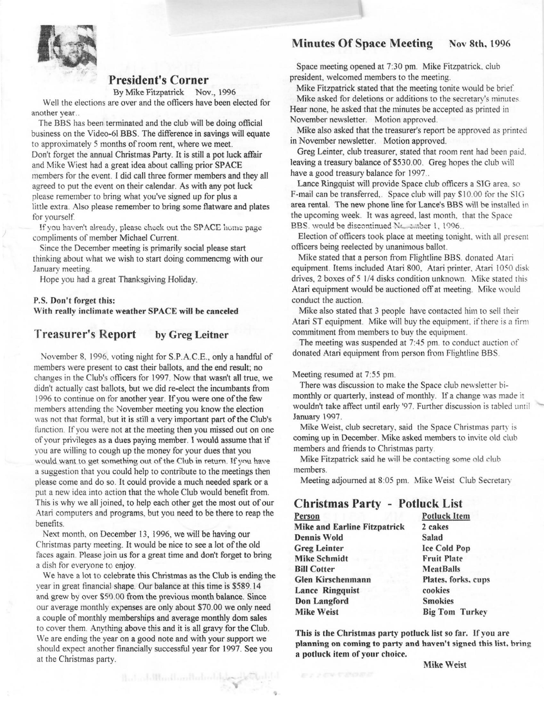## Minutes Of Space Meeting Nov 8th, 1996



## **President's Corner**

By Mike Fitzpatrick Nov., 1996

Well the elections are over and the officers have been elected for another year ..

The BBS has been terminated and the club will be doing official business on the Video-61 BBS. The difference in savings will equate to approximately 5 months of room rent, where we meet. Don't forget the annual Christmas Party. It is still a pot luck affair and Mike Wiest had a great idea about calling prior SPACE members for the event. I did call three former members and they all agreed to put the event on their calendar. As with any pot luck please remember to bring what you've signed up for plus a little extra. Also please remember to bring some flatware and plates for yourself.

If you haven't already, please check out the SPACE home page. compliments of member Michael Current.

Since the December meeting is primarily social please start thinking about what we wish to start doing commencmg with our January meeting.

Hope you had a great Thanksgiving Holiday.

### **P.S. Don't forget this: With really inclimate weather SPACE will be canceled**

### **Treasurer's Report by Greg Leitner**

November 8. 1996. voting night for S.P.A.C.E., only a handful of members were present to cast their ballots, and the end result; no changes in the Club's officers for 1997. Now that wasn't all true, we didn't actually cast ballots, but we did re-elect the incumbants from 1996 to continue on for another year. If you were one of the few members attending the November meeting you know the election was not that formal, but it is still a very important part of the Club's function. If you were not at the meeting then you missed out on one of your privileges as a dues paying member. I would assume that if you are willing to cough up the money for your dues that you would want to get something out of the Club in return. If you have a suggestion that you could help to contribute to the meetings then please come and do so. It could provide a much needed spark or a put a new idea into action that the whole Club would benefit from. This is why we all joined, to help each other get the most out of our Atari computers and programs, but you need to be there to reap the benefits.

Next month, on December 13, 1996, we will be having our Christmas party meeting. It would be nice to see a lot of the old faces again. Please join us for a great time and don't forget to bring a dish for everyone to enjoy.

We have a lot to celebrate this Christmas as the Club is ending the vear in great financial shape. Our balance at this time is \$589.14 and grew by over \$50.00 from the previous month balance. Since our average monthly expenses are only about \$70.00 we only need a couple of monthly memberships and average monthly dom sales to cover them. Anything above this and it is all gravy for the Club. We are ending the year on a good note and with your support we should expect another financially successful year for 1997. See you at the Christmas party.

flast additional or the developed

Space meeting opened at 7:30 pm. Mike Fitzpatrick. club president, welcomed members to the meeting.

Mike Fitzpatrick stated that the meeting tonite would be brief. Mike asked for deletions or additions to the secretary's minutes Hear none, he asked that the minutes be accepted as primed in November newsletter. Motion approved.

**Mike** also asked that the treasurer's report be approved as printed in November newsletter. Motion approved.

Greg Leinter, club treasurer, stated that room rent had been paid. leaving a treasury balance of \$530.00. Greg hopes the club will have a good treasury balance for 1997...

Lance Ringquist will provide Space club officers a SIG area. so F-mail can be transferred,. Space club will pay \$10.00 for the SIG area rental. The new phone line for Lance's BBS will be installed in the upcoming week. It was agreed, last month, that the Space BBS. would be discontinued No. .....ber 1, 1996...

Election of officers took place at meeting tonight. with all present officers being reelected by unanimous ballot.

Mike stated that a person from Flightline BBS. donated Atari equipment. Items included Atari 800, Atari printer, Atari 1050 disk drives, 2 boxes of 5 1/4 disks condition unknown. Mike stated this Atari equipment would be auctioned off at meeting. Mike would conduct the auction.

Mike also stated that 3 people have contacted him to sell their Atari ST equipment. Mike will buy the equipment, if there is a firm commitment from members to buy the equipment.

The meeting was suspended at 7:45 pm. to conduct auction of donated Atari equipment from person from Flightline BBS.

#### Meeting resumed at 7:55 pm.

There was discussion to make the Space club newsletter bimonthly or quarterly, instead of monthly. If a change was made it wouldn't take affect until early '97. Further discussion is tabled until January 1997.

Mike Weist, club secretary, said the Space Christmas party is coming up in December. Mike asked members to invite old club members and friends to Christmas party

Mike Fitzpatrick said he will be contacting some old club members.

Meeting adjourned at 8:05 pm. Mike Weist Club Secretary

## **Christmas Party** - **Potluck List**

| Person                              | Potluck Item          |  |
|-------------------------------------|-----------------------|--|
| <b>Mike and Earline Fitzpatrick</b> | 2 cakes               |  |
| <b>Dennis Wold</b>                  | Salad                 |  |
| <b>Greg Leinter</b>                 | <b>Ice Cold Pop</b>   |  |
| <b>Mike Schmidt</b>                 | <b>Fruit Plate</b>    |  |
| <b>Bill Cotter</b>                  | <b>MeatBalls</b>      |  |
| Glen Kirschenmann                   | Plates, forks, cups   |  |
| Lance Ringquist                     | cookies               |  |
| <b>Don Langford</b>                 | <b>Smokies</b>        |  |
| <b>Mike Weist</b>                   | <b>Big Tom Turkey</b> |  |

This is the Christmas party potluck list so far. If you are planning on coming to party and haven't signed this list. bring a potluck item of your choice.

Mike Weist